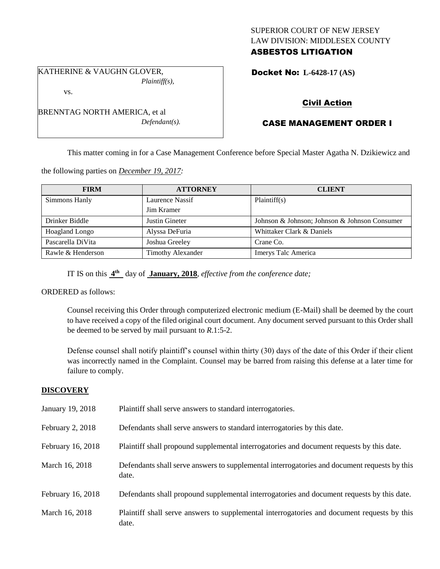# SUPERIOR COURT OF NEW JERSEY LAW DIVISION: MIDDLESEX COUNTY ASBESTOS LITIGATION

KATHERINE & VAUGHN GLOVER, *Plaintiff(s),*

vs.

BRENNTAG NORTH AMERICA, et al *Defendant(s).* Docket No: **L-6428-17 (AS)** 

# Civil Action

# CASE MANAGEMENT ORDER I

This matter coming in for a Case Management Conference before Special Master Agatha N. Dzikiewicz and

the following parties on *December 19, 2017:*

| <b>FIRM</b>           | <b>ATTORNEY</b>          | <b>CLIENT</b>                                 |
|-----------------------|--------------------------|-----------------------------------------------|
| Simmons Hanly         | Laurence Nassif          | Plaintiff(s)                                  |
|                       | Jim Kramer               |                                               |
| Drinker Biddle        | Justin Gineter           | Johnson & Johnson; Johnson & Johnson Consumer |
| <b>Hoagland Longo</b> | Alyssa DeFuria           | Whittaker Clark & Daniels                     |
| Pascarella DiVita     | Joshua Greeley           | Crane Co.                                     |
| Rawle & Henderson     | <b>Timothy Alexander</b> | Imerys Talc America                           |

IT IS on this **4 th** day of **January, 2018**, *effective from the conference date;*

ORDERED as follows:

Counsel receiving this Order through computerized electronic medium (E-Mail) shall be deemed by the court to have received a copy of the filed original court document. Any document served pursuant to this Order shall be deemed to be served by mail pursuant to *R*.1:5-2.

Defense counsel shall notify plaintiff's counsel within thirty (30) days of the date of this Order if their client was incorrectly named in the Complaint. Counsel may be barred from raising this defense at a later time for failure to comply.

## **DISCOVERY**

| January 19, 2018  | Plaintiff shall serve answers to standard interrogatories.                                            |
|-------------------|-------------------------------------------------------------------------------------------------------|
| February 2, 2018  | Defendants shall serve answers to standard interrogatories by this date.                              |
| February 16, 2018 | Plaintiff shall propound supplemental interrogatories and document requests by this date.             |
| March 16, 2018    | Defendants shall serve answers to supplemental interrogatories and document requests by this<br>date. |
| February 16, 2018 | Defendants shall propound supplemental interrogatories and document requests by this date.            |
| March 16, 2018    | Plaintiff shall serve answers to supplemental interrogatories and document requests by this<br>date.  |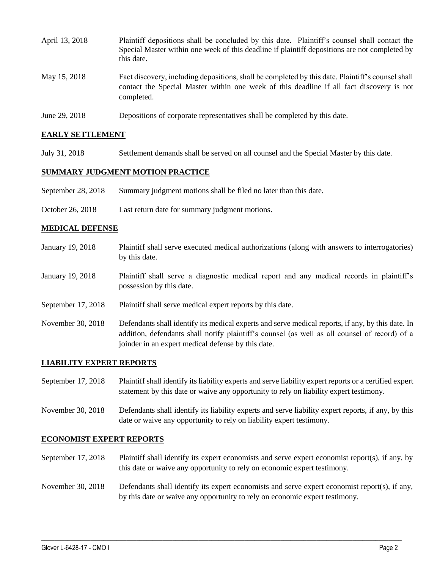| April 13, 2018 | Plaintiff depositions shall be concluded by this date. Plaintiff's counsel shall contact the<br>Special Master within one week of this deadline if plaintiff depositions are not completed by<br>this date. |
|----------------|-------------------------------------------------------------------------------------------------------------------------------------------------------------------------------------------------------------|
| May 15, 2018   | Fact discovery, including depositions, shall be completed by this date. Plaintiff's counsel shall<br>contact the Special Master within one week of this deadline if all fact discovery is not<br>completed. |
| June 29, 2018  | Depositions of corporate representatives shall be completed by this date.                                                                                                                                   |

### **EARLY SETTLEMENT**

July 31, 2018 Settlement demands shall be served on all counsel and the Special Master by this date.

### **SUMMARY JUDGMENT MOTION PRACTICE**

- September 28, 2018 Summary judgment motions shall be filed no later than this date.
- October 26, 2018 Last return date for summary judgment motions.

#### **MEDICAL DEFENSE**

- January 19, 2018 Plaintiff shall serve executed medical authorizations (along with answers to interrogatories) by this date.
- January 19, 2018 Plaintiff shall serve a diagnostic medical report and any medical records in plaintiff's possession by this date.
- September 17, 2018 Plaintiff shall serve medical expert reports by this date.
- November 30, 2018 Defendants shall identify its medical experts and serve medical reports, if any, by this date. In addition, defendants shall notify plaintiff's counsel (as well as all counsel of record) of a joinder in an expert medical defense by this date.

#### **LIABILITY EXPERT REPORTS**

- September 17, 2018 Plaintiff shall identify its liability experts and serve liability expert reports or a certified expert statement by this date or waive any opportunity to rely on liability expert testimony.
- November 30, 2018 Defendants shall identify its liability experts and serve liability expert reports, if any, by this date or waive any opportunity to rely on liability expert testimony.

#### **ECONOMIST EXPERT REPORTS**

September 17, 2018 Plaintiff shall identify its expert economists and serve expert economist report(s), if any, by this date or waive any opportunity to rely on economic expert testimony.

# November 30, 2018 Defendants shall identify its expert economists and serve expert economist report(s), if any, by this date or waive any opportunity to rely on economic expert testimony.

 $\_$  ,  $\_$  ,  $\_$  ,  $\_$  ,  $\_$  ,  $\_$  ,  $\_$  ,  $\_$  ,  $\_$  ,  $\_$  ,  $\_$  ,  $\_$  ,  $\_$  ,  $\_$  ,  $\_$  ,  $\_$  ,  $\_$  ,  $\_$  ,  $\_$  ,  $\_$  ,  $\_$  ,  $\_$  ,  $\_$  ,  $\_$  ,  $\_$  ,  $\_$  ,  $\_$  ,  $\_$  ,  $\_$  ,  $\_$  ,  $\_$  ,  $\_$  ,  $\_$  ,  $\_$  ,  $\_$  ,  $\_$  ,  $\_$  ,